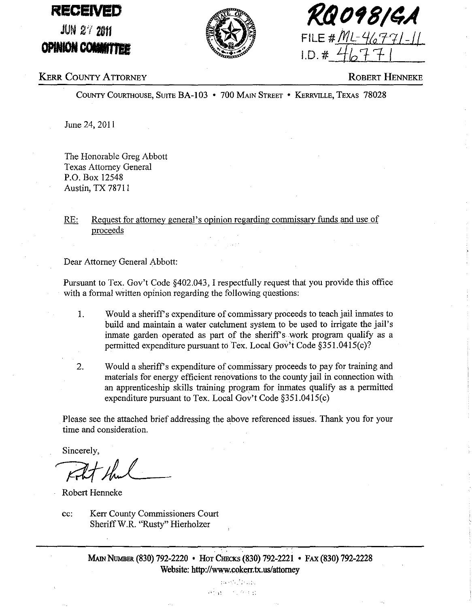# **RECEIVED**

JUN 2'121m **OPINION COMMITTEE** 



**f</io'8/4A**   $FILE # ML-46771-$ 1.0. # *11011-* I '

## KERR COUNTY ATTORNEY

ROBERT HENNEKE

COUNTY COURTHOUSE, SUITE BA-I 03 • 700 MAIN STREET • KERRVILLE, TEXAS 78028

June 24, 2011

The Honorable Greg Abbott Texas Attorney General P.O. Box 12548 Austin, TX 78711

### RE: Request for attorney general's opinion regarding commissary funds and use of proceeds

Dear Attorney General Abbott:

Pursuant to Tex. Gov't Code §402.043, I respectfully request that you provide this office with a formal written opinion regarding the following questions:

- 1. Would a sheriff's expenditure of commissary proceeds to teach jail inmates to build and maintain a water catchment system to be used to irrigate the jail's inmate garden operated as part of the sheriff's work program qualify as a permitted expenditure pursuant to Tex. Local Gov't Code  $\S 351.0415(c)$ ?
- 2. Would a sheriff's expenditure of commissary proceeds to pay for training and materials for energy efficient renovations to the county jail in connection with an apprenticeship skills training program for inmates qualify as a permitted expenditure pursuant to Tex. Local Gov't Code §351.0415(c)

Please see the attached brief addressing the above referenced issues. Thank you for your time and consideration.

Sincerely,

 $Rt$  that

Robert Henneke

cc: Kerr County Commissioners Court Sheriff W.R. "Rusty" Hierholzer

> MAIN NUMBER (830) 792-2220 • HOT CHEcKs (830) 792-2221 • FAX (830) 792-2228 Website: http://www.cokerr.tx.us/attorney

> > nes a band 一个, 保守社

 $\mathcal{P}^{\rm{in}}$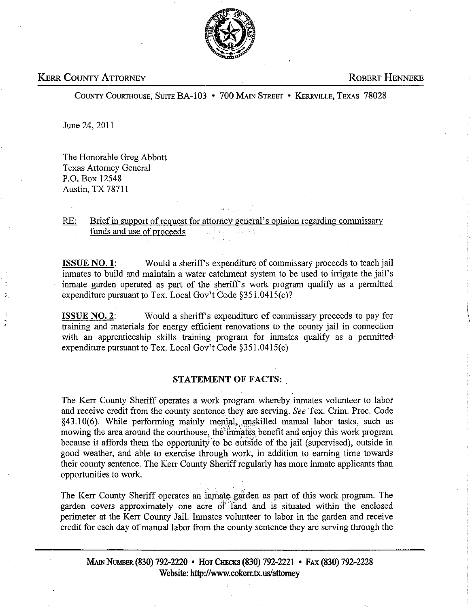

#### KERR COUNTY ATTORNEY AND ROBERT HENNEKE

COUNTY COURTHOUSE, SUITE BA-103 • 700 MAIN STREET • KERRVILLE, TEXAS 78028

June 24, 2011

The Honorable Greg Abbott Texas Attorney General P.O. Box 12548 Austin, TX 78711

RE: Brief in support of request for attorney general's opinion regarding commissary funds and use of proceeds

ISSUE NO.1: Would a sheriff's expenditure of commissary proceeds to teach jail inmates to build and maintain a water catchment system to be used to irrigate the jail's inmate garden operated as part of the sheriff's work program qualify as a permitted expenditure pursuant to Tex. Local Gov't Code §351.0415(c)?

ISSUE NO.2: Would a sheriffs expenditure of commissary proceeds to pay for training and materials for energy efficient renovations to the county jail in connection with an apprenticeship skills training program for inmates qualify as a permitted expenditure pursuant to Tex. Local Gov't Code §351.0415(c)

#### STATEMENT OF FACTS:

The Kerr County Sheriff operates a work program whereby inmates volunteer to labor and receive credit from the county sentence they are serving. *See* Tex. Crim. Proc. Code §43.10(6). While performing mainly menial, unskilled manual labor tasks, such as mowing the area around the courthouse, the initiates benefit and enjoy this work program because it affords them the opportunity to be outside of the jail (supervised), outside in good weather, and able to exercise through work, in addition to eaming time towards their county sentence. The Kerr County Sheriff regularly has more inmate applicants than opportunities to work.

The Kerr County Sheriff operates an inmate garden as part of this work program. The garden covers approximately one acre *ot* land and is situated within the enclosed perimeter at the Kerr County Jail. Inmates volunteer to labor in the garden and receive credit for each day of manual labor from the county sentence they are serving through the

MAiN NUMBER (830) 792-2220 • HOT CImcKs (830) 792-2221 • FAX (830) 792-2228 Website: http://www.cokerr.tx.us/attorney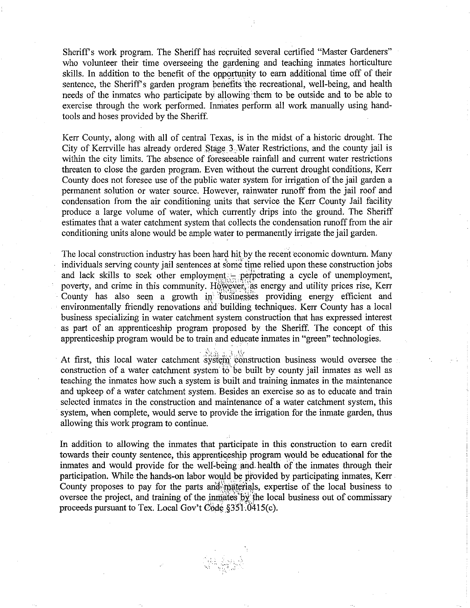Sheriff's work program. The Sheriff has recruited several certified "Master Gardeners" who volunteer their time overseeing the gardening and teaching inmates horticulture skills. In addition to the benefit of the opportunity to earn additional time off of their sentence, the Sheriff's garden program benefits the recreational, well-being, and health needs of the inmates who participate by allowing ·them to be outside and to be able to exercise through the work performed. Inniates perform all work manually using handtools and hoses provided by the Sheriff.

Kerr County, along with all of central Texas, is in the midst of a historic drought. The City of Kerrville has already ordered Stage  $3$ . Water Restrictions, and the county jail is within the city limits. The absence of foreseeable rainfall and current water restrictions threaten to close the garden program. Even without the current drought conditions, Kerr County does not foresee use of the public water system for irrigation of the jail garden a permanent solution or water source. However, rainwater runoff from the jail roof and condensation from the air conditioning units that service the Kerr County Jail facility produce a large volume of water, which currently drips into the ground. The Sheriff estimates that a water catchment system that collects the condensation runoff from the air conditioning units alone would be ample water to permanently irrigate the jail garden.

The local construction industry has been hard hit by the recent economic downturn. Many individuals serving county jail sentences at some time relied upon these construction jobs and lack skills to seek other employment  $-$  perpetrating a cycle of unemployment, poverty, and crime in this community. However, as energy and utility prices rise, Kerr County has also seen a growth in businesses providing energy efficient and environmentally friendly renovations and building techniques. Kerr County has a local business specializing in water catchment system construction that has expressed interest as part of an apprenticeship program proposed by the Sheriff. The concept of this apprenticeship program would be to train and educate inmates in "green" technologies.

At first, this local water catchment system construction business would oversee the construction of a water catchment system io" be built by county jail inmates as well as teaching the inmates how such a system is built and training inmates in the maintenance and upkeep of a water catchment system. Besides an exercise so as to educate and train selected inmates in the construction and maintenance of a water catchment system, this system, when complete, would serve to provide the irrigation for the inmate garden, thus allowing this work program to continue.

In addition to allowing the inmates that participate in this construction to earn credit towards their county sentence, this apprenticeship program would be educational for the inmates and would provide for the well-being and health of the inmates through their participation. While the hands-on labor would be provided by participating inmates, Kerr County proposes to pay for the parts and materials, expertise of the local business to oversee the project, and training of the inmates by the local business out of commissary proceeds pursuant to Tex. Local Gov't Code  $$351.0415(c)$ .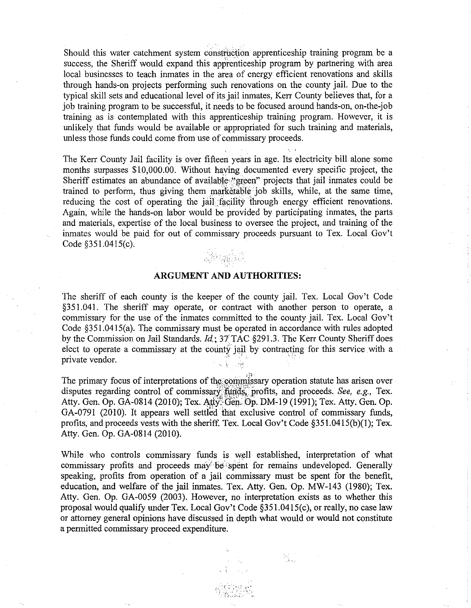Should this water catchment system construction apprenticeship training program be a success, the Sheriff would expand this apprenticeship program by partnering with area local businesses to teach inmates in the area of energy efficient renovations and skills through hands-on projects performing such renovations on the county jail. Due to the typical skill sets and educational level of its jail inmates, Kerr County believes that, for a job training program to be successful, it needs to be focused around hands-on, on-the-job training as is contemplated with this apprenticeship training program. However, it is unlikely that funds would be available or appropriated for such training and materials, unless those funds could come from use of commissary proceeds.

The Kerr County Jail facility is over fifteen years in age. Its electricity bill alone some months surpasses \$10,000.00. Without having documented every specific project, the Sheriff estimates an abundance of available "green" projects that jail inmates could be trained to perform, thus giving them marketable job skills, while, at the same time, reducing the cost of operating the jail facility through energy efficient renovations. Again, while the hands-on labor would be provided by participating inmates, the parts and materials, expertise of the local business to oversee the project, and training of the inmates would be paid for out of commissary proceeds pursuant to Tex. Local Gov't Code §351.0415(c).



#### **ARGUMENT AND AUTHORITIES:**

The sheriff of each county is the keeper of the county jail. Tex. Local Gov't Code §351.041. The sheriff may operate, or contract with another person to operate, a commissary for the use of the inmates committed to the county jail. Tex. Local Gov't Code §351.0415(a). The commissary must be operated in accordance with rules adopted by the Commission on Jail Standards. *Id*; 37 TAC §291.3. The Kerr County Sheriff does elect to operate a commissary at the county jail by contracting for this service with a Code §351.0415(a). The commissary must be operated in accord<br>by the Commission on Jail Standards.  $Id$ ; 37 TAC §291.3. The K<br>elect to operate a commissary at the county jail by contracting<br>private vendor.

The primary focus of interpretations of the commissary operation statute has arisen over disputes regarding control of commissary funds, profits, and proceeds. *See, e.g.*, Tex. Atty. Gen. Op. GA-0814 (2010); Tex. Atty. Gen. Op. DM-19 (1991); Tex. Atty. Gen. Op. GA-0791 (2010). It appears well settIed that exclusive control of commissary funds, profits, and proceeds vests with the sheriff. Tex. Local Gov't Code §351.0415(b)(1); Tex. Atty. Gen. Op. GA-0814 (2010).

While who controls commissary funds is well established, interpretation of what commissary profits and proceeds may be spent for remains undeveloped. Generally speaking, profits from operation of a jail commissary must be spent for the benefit, education, and welfare of the jail inmates. Tex. Atty. Gen. Op. MW-143 (1980); Tex. Atty. Gen. Op. GA-0059 (2003). However, no interpretation exists as to whether this proposal would qualify under Tex. Local Gov't Code §351.0415(c), or really, no case law or attorney general opinions have discussed in depth what would or would not constitute a permitted commissary proceed expenditure.